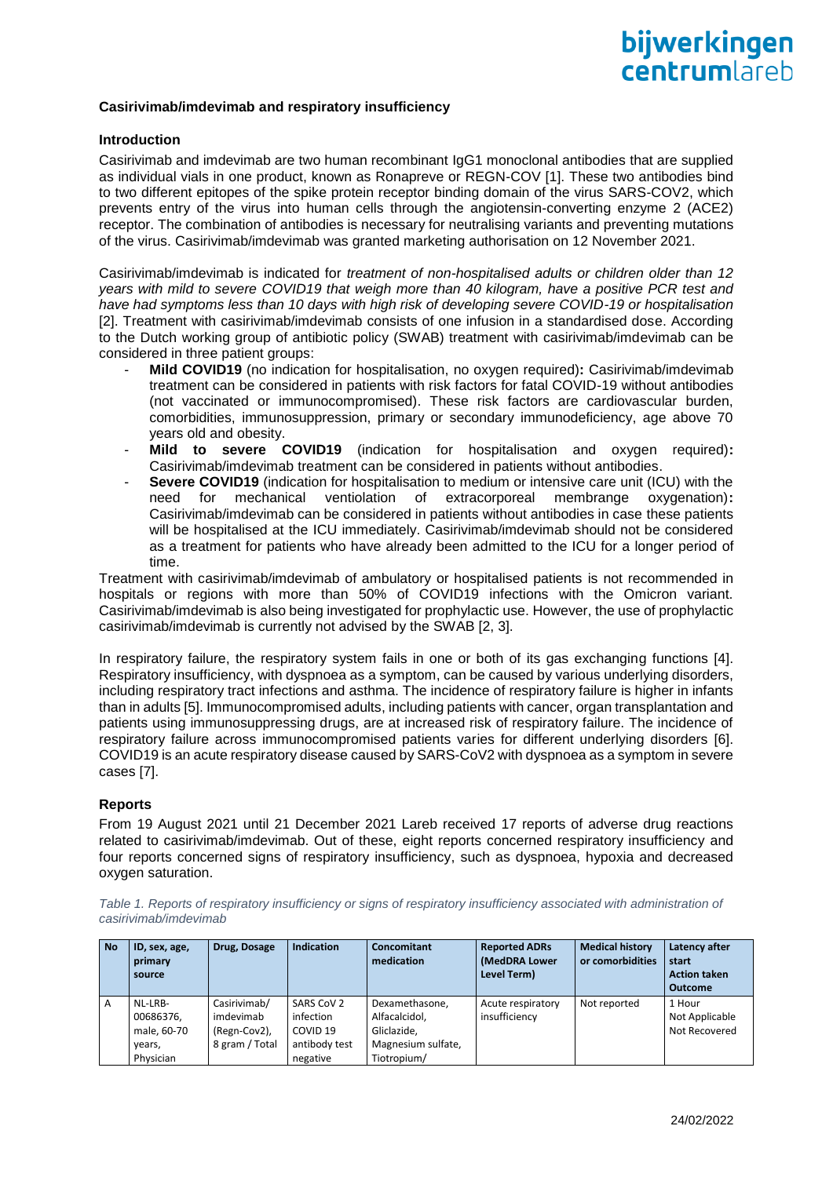#### **Casirivimab/imdevimab and respiratory insufficiency**

#### **Introduction**

Casirivimab and imdevimab are two human recombinant IgG1 monoclonal antibodies that are supplied as individual vials in one product, known as Ronapreve or REGN-COV [1]. These two antibodies bind to two different epitopes of the spike protein receptor binding domain of the virus SARS-COV2, which prevents entry of the virus into human cells through the angiotensin-converting enzyme 2 (ACE2) receptor. The combination of antibodies is necessary for neutralising variants and preventing mutations of the virus. Casirivimab/imdevimab was granted marketing authorisation on 12 November 2021.

Casirivimab/imdevimab is indicated for *treatment of non-hospitalised adults or children older than 12 years with mild to severe COVID19 that weigh more than 40 kilogram, have a positive PCR test and have had symptoms less than 10 days with high risk of developing severe COVID-19 or hospitalisation* [2]. Treatment with casirivimab/imdevimab consists of one infusion in a standardised dose. According to the Dutch working group of antibiotic policy (SWAB) treatment with casirivimab/imdevimab can be considered in three patient groups:

- **Mild COVID19** (no indication for hospitalisation, no oxygen required)**:** Casirivimab/imdevimab treatment can be considered in patients with risk factors for fatal COVID-19 without antibodies (not vaccinated or immunocompromised). These risk factors are cardiovascular burden, comorbidities, immunosuppression, primary or secondary immunodeficiency, age above 70 years old and obesity.
- **Mild to severe COVID19** (indication for hospitalisation and oxygen required)**:** Casirivimab/imdevimab treatment can be considered in patients without antibodies.
- **Severe COVID19** (indication for hospitalisation to medium or intensive care unit (ICU) with the need for mechanical ventiolation of extracorporeal membrange oxygenation)**:** Casirivimab/imdevimab can be considered in patients without antibodies in case these patients will be hospitalised at the ICU immediately. Casirivimab/imdevimab should not be considered as a treatment for patients who have already been admitted to the ICU for a longer period of time.

Treatment with casirivimab/imdevimab of ambulatory or hospitalised patients is not recommended in hospitals or regions with more than 50% of COVID19 infections with the Omicron variant. Casirivimab/imdevimab is also being investigated for prophylactic use. However, the use of prophylactic casirivimab/imdevimab is currently not advised by the SWAB [2, 3].

In respiratory failure, the respiratory system fails in one or both of its gas exchanging functions [4]. Respiratory insufficiency, with dyspnoea as a symptom, can be caused by various underlying disorders, including respiratory tract infections and asthma. The incidence of respiratory failure is higher in infants than in adults [5]. Immunocompromised adults, including patients with cancer, organ transplantation and patients using immunosuppressing drugs, are at increased risk of respiratory failure. The incidence of respiratory failure across immunocompromised patients varies for different underlying disorders [6]. COVID19 is an acute respiratory disease caused by SARS-CoV2 with dyspnoea as a symptom in severe cases [7].

#### **Reports**

From 19 August 2021 until 21 December 2021 Lareb received 17 reports of adverse drug reactions related to casirivimab/imdevimab. Out of these, eight reports concerned respiratory insufficiency and four reports concerned signs of respiratory insufficiency, such as dyspnoea, hypoxia and decreased oxygen saturation.

Table 1. Reports of respiratory insufficiency or signs of respiratory insufficiency associated with administration of *casirivimab/imdevimab*

| <b>No</b>      | ID, sex, age, | Drug, Dosage   | <b>Indication</b>   | <b>Concomitant</b> | <b>Reported ADRs</b> | <b>Medical history</b> | Latency after       |
|----------------|---------------|----------------|---------------------|--------------------|----------------------|------------------------|---------------------|
|                | primary       |                |                     | medication         | (MedDRA Lower        | or comorbidities       | start               |
|                | source        |                |                     |                    | Level Term)          |                        | <b>Action taken</b> |
|                |               |                |                     |                    |                      |                        | <b>Outcome</b>      |
| $\overline{A}$ | NL-LRB-       | Casirivimab/   | SARS CoV 2          | Dexamethasone,     | Acute respiratory    | Not reported           | 1 Hour              |
|                | 00686376,     | imdevimab      | infection           | Alfacalcidol,      | insufficiency        |                        | Not Applicable      |
|                | male, 60-70   | (Regn-Cov2),   | COVID <sub>19</sub> | Gliclazide,        |                      |                        | Not Recovered       |
|                | years,        | 8 gram / Total | antibody test       | Magnesium sulfate, |                      |                        |                     |
|                | Physician     |                | negative            | Tiotropium/        |                      |                        |                     |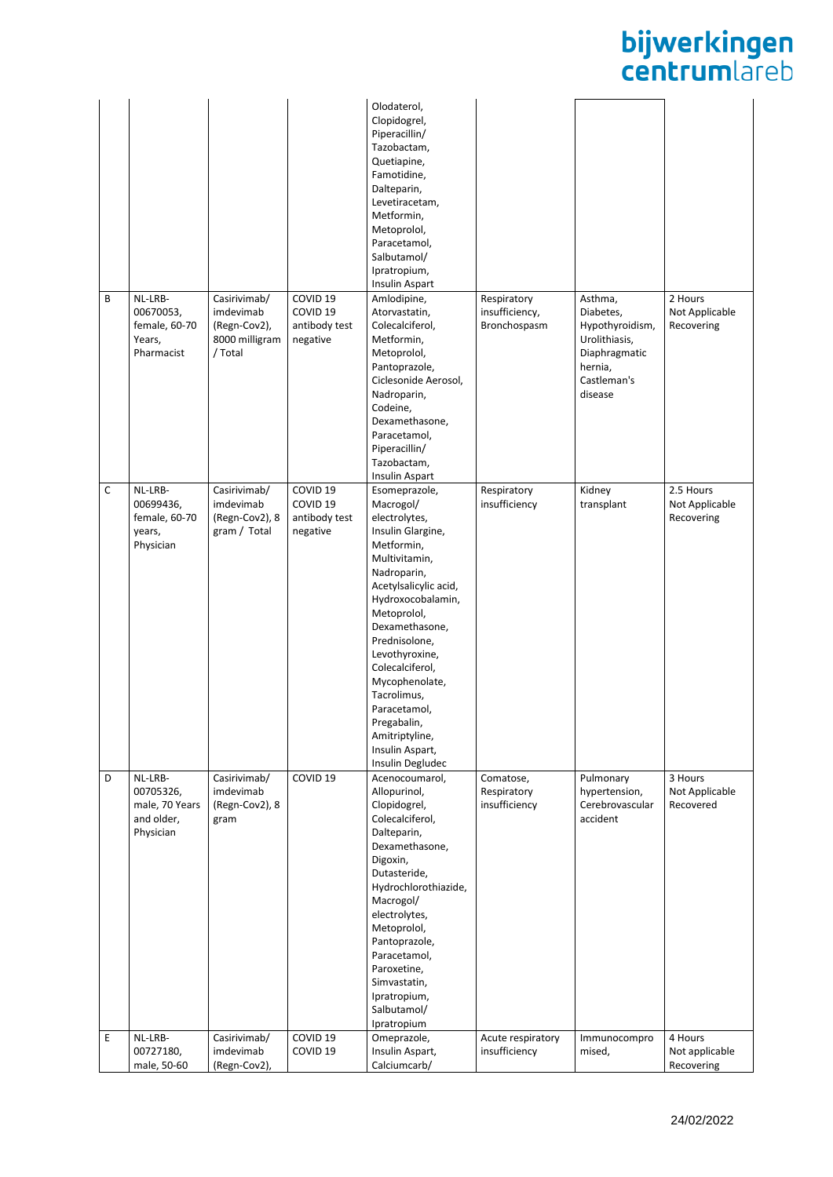## **bijwerkingen**<br>centrumlareb

|   |                |                |                     | Olodaterol,<br>Clopidogrel,<br>Piperacillin/ |                   |                 |                |
|---|----------------|----------------|---------------------|----------------------------------------------|-------------------|-----------------|----------------|
|   |                |                |                     | Tazobactam,                                  |                   |                 |                |
|   |                |                |                     | Quetiapine,                                  |                   |                 |                |
|   |                |                |                     | Famotidine,                                  |                   |                 |                |
|   |                |                |                     | Dalteparin,                                  |                   |                 |                |
|   |                |                |                     | Levetiracetam,                               |                   |                 |                |
|   |                |                |                     | Metformin,                                   |                   |                 |                |
|   |                |                |                     | Metoprolol,                                  |                   |                 |                |
|   |                |                |                     | Paracetamol,                                 |                   |                 |                |
|   |                |                |                     | Salbutamol/                                  |                   |                 |                |
|   |                |                |                     | Ipratropium,<br>Insulin Aspart               |                   |                 |                |
| B | NL-LRB-        | Casirivimab/   | COVID <sub>19</sub> | Amlodipine,                                  | Respiratory       | Asthma,         | 2 Hours        |
|   | 00670053,      | imdevimab      | COVID <sub>19</sub> | Atorvastatin,                                | insufficiency,    | Diabetes,       | Not Applicable |
|   | female, 60-70  | (Regn-Cov2),   | antibody test       | Colecalciferol,                              | Bronchospasm      | Hypothyroidism, | Recovering     |
|   | Years,         | 8000 milligram | negative            | Metformin,                                   |                   | Urolithiasis,   |                |
|   | Pharmacist     | / Total        |                     | Metoprolol,                                  |                   | Diaphragmatic   |                |
|   |                |                |                     | Pantoprazole,                                |                   | hernia,         |                |
|   |                |                |                     | Ciclesonide Aerosol,                         |                   | Castleman's     |                |
|   |                |                |                     | Nadroparin,                                  |                   | disease         |                |
|   |                |                |                     | Codeine,                                     |                   |                 |                |
|   |                |                |                     | Dexamethasone,                               |                   |                 |                |
|   |                |                |                     | Paracetamol,<br>Piperacillin/                |                   |                 |                |
|   |                |                |                     | Tazobactam,                                  |                   |                 |                |
|   |                |                |                     | Insulin Aspart                               |                   |                 |                |
| C | NL-LRB-        | Casirivimab/   | COVID <sub>19</sub> | Esomeprazole,                                | Respiratory       | Kidney          | 2.5 Hours      |
|   | 00699436,      | imdevimab      | COVID <sub>19</sub> | Macrogol/                                    | insufficiency     | transplant      | Not Applicable |
|   | female, 60-70  | (Regn-Cov2), 8 | antibody test       | electrolytes,                                |                   |                 | Recovering     |
|   | years,         | gram / Total   | negative            | Insulin Glargine,                            |                   |                 |                |
|   | Physician      |                |                     | Metformin,                                   |                   |                 |                |
|   |                |                |                     | Multivitamin,                                |                   |                 |                |
|   |                |                |                     | Nadroparin,<br>Acetylsalicylic acid,         |                   |                 |                |
|   |                |                |                     | Hydroxocobalamin,                            |                   |                 |                |
|   |                |                |                     | Metoprolol,                                  |                   |                 |                |
|   |                |                |                     | Dexamethasone,                               |                   |                 |                |
|   |                |                |                     | Prednisolone,                                |                   |                 |                |
|   |                |                |                     | Levothyroxine,                               |                   |                 |                |
|   |                |                |                     | Colecalciferol,                              |                   |                 |                |
|   |                |                |                     | Mycophenolate,                               |                   |                 |                |
|   |                |                |                     | Tacrolimus,                                  |                   |                 |                |
|   |                |                |                     | Paracetamol,                                 |                   |                 |                |
|   |                |                |                     | Pregabalin,<br>Amitriptyline,                |                   |                 |                |
|   |                |                |                     | Insulin Aspart,                              |                   |                 |                |
|   |                |                |                     | Insulin Degludec                             |                   |                 |                |
| D | NL-LRB-        | Casirivimab/   | COVID <sub>19</sub> | Acenocoumarol,                               | Comatose,         | Pulmonary       | 3 Hours        |
|   | 00705326,      | imdevimab      |                     | Allopurinol,                                 | Respiratory       | hypertension,   | Not Applicable |
|   | male, 70 Years | (Regn-Cov2), 8 |                     | Clopidogrel,                                 | insufficiency     | Cerebrovascular | Recovered      |
|   | and older,     | gram           |                     | Colecalciferol,                              |                   | accident        |                |
|   | Physician      |                |                     | Dalteparin,<br>Dexamethasone,                |                   |                 |                |
|   |                |                |                     | Digoxin,                                     |                   |                 |                |
|   |                |                |                     | Dutasteride,                                 |                   |                 |                |
|   |                |                |                     | Hydrochlorothiazide,                         |                   |                 |                |
|   |                |                |                     | Macrogol/                                    |                   |                 |                |
|   |                |                |                     | electrolytes,                                |                   |                 |                |
|   |                |                |                     | Metoprolol,                                  |                   |                 |                |
|   |                |                |                     | Pantoprazole,                                |                   |                 |                |
|   |                |                |                     | Paracetamol,                                 |                   |                 |                |
|   |                |                |                     | Paroxetine,                                  |                   |                 |                |
|   |                |                |                     | Simvastatin,<br>Ipratropium,                 |                   |                 |                |
|   |                |                |                     | Salbutamol/                                  |                   |                 |                |
|   |                |                |                     | Ipratropium                                  |                   |                 |                |
| Е | NL-LRB-        | Casirivimab/   | COVID <sub>19</sub> | Omeprazole,                                  | Acute respiratory | Immunocompro    | 4 Hours        |
|   | 00727180,      | imdevimab      | COVID <sub>19</sub> | Insulin Aspart,                              | insufficiency     | mised,          | Not applicable |
|   | male, 50-60    | (Regn-Cov2),   |                     | Calciumcarb/                                 |                   |                 | Recovering     |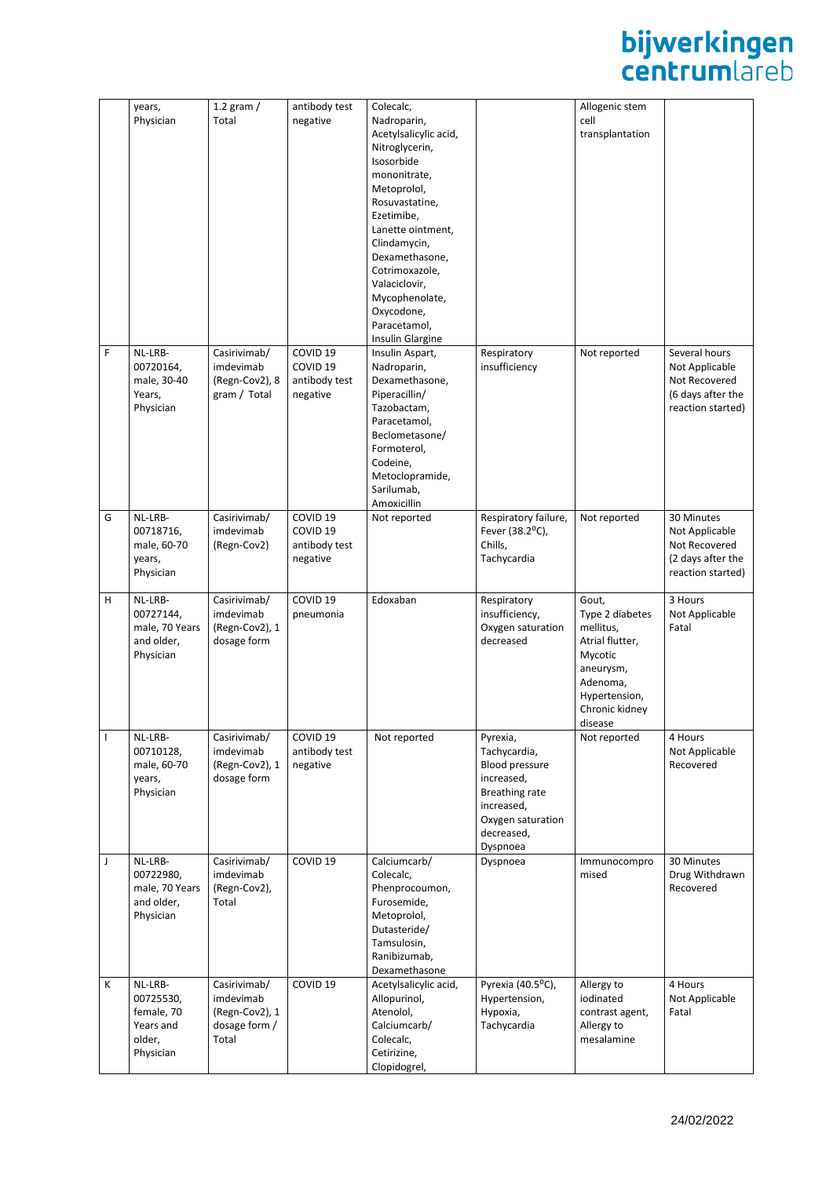# **bijwerkingen**<br>centrumlareb

|              | years,<br>Physician                                                    | 1.2 gram $/$<br>Total                                                 | antibody test<br>negative                                               | Colecalc,<br>Nadroparin,<br>Acetylsalicylic acid,<br>Nitroglycerin,<br>Isosorbide<br>mononitrate,<br>Metoprolol,<br>Rosuvastatine,<br>Ezetimibe,<br>Lanette ointment,<br>Clindamycin,<br>Dexamethasone,<br>Cotrimoxazole, |                                                                                                                                         | Allogenic stem<br>cell<br>transplantation                                                                                                  |                                                                                            |
|--------------|------------------------------------------------------------------------|-----------------------------------------------------------------------|-------------------------------------------------------------------------|---------------------------------------------------------------------------------------------------------------------------------------------------------------------------------------------------------------------------|-----------------------------------------------------------------------------------------------------------------------------------------|--------------------------------------------------------------------------------------------------------------------------------------------|--------------------------------------------------------------------------------------------|
|              |                                                                        |                                                                       |                                                                         | Valaciclovir,<br>Mycophenolate,<br>Oxycodone,<br>Paracetamol,<br>Insulin Glargine                                                                                                                                         |                                                                                                                                         |                                                                                                                                            |                                                                                            |
| F            | NL-LRB-<br>00720164,<br>male, 30-40<br>Years,<br>Physician             | Casirivimab/<br>imdevimab<br>(Regn-Cov2), 8<br>gram / Total           | COVID <sub>19</sub><br>COVID <sub>19</sub><br>antibody test<br>negative | Insulin Aspart,<br>Nadroparin,<br>Dexamethasone,<br>Piperacillin/<br>Tazobactam,<br>Paracetamol,<br>Beclometasone/<br>Formoterol,<br>Codeine,<br>Metoclopramide,<br>Sarilumab,<br>Amoxicillin                             | Respiratory<br>insufficiency                                                                                                            | Not reported                                                                                                                               | Several hours<br>Not Applicable<br>Not Recovered<br>(6 days after the<br>reaction started) |
| G            | NL-LRB-<br>00718716,<br>male, 60-70<br>years,<br>Physician             | Casirivimab/<br>imdevimab<br>(Regn-Cov2)                              | COVID <sub>19</sub><br>COVID <sub>19</sub><br>antibody test<br>negative | Not reported                                                                                                                                                                                                              | Respiratory failure,<br>Fever (38.2°C),<br>Chills,<br>Tachycardia                                                                       | Not reported                                                                                                                               | 30 Minutes<br>Not Applicable<br>Not Recovered<br>(2 days after the<br>reaction started)    |
| н            | NL-LRB-<br>00727144,<br>male, 70 Years<br>and older,<br>Physician      | Casirivimab/<br>imdevimab<br>(Regn-Cov2), 1<br>dosage form            | COVID <sub>19</sub><br>pneumonia                                        | Edoxaban                                                                                                                                                                                                                  | Respiratory<br>insufficiency,<br>Oxygen saturation<br>decreased                                                                         | Gout,<br>Type 2 diabetes<br>mellitus,<br>Atrial flutter,<br>Mycotic<br>aneurysm,<br>Adenoma,<br>Hypertension,<br>Chronic kidney<br>disease | 3 Hours<br>Not Applicable<br>Fatal                                                         |
| $\mathbf{I}$ | NL-LRB-<br>00710128,<br>male, 60-70<br>years,<br>Physician             | Casirivimab/<br>imdevimab<br>(Regn-Cov2), 1<br>dosage form            | COVID <sub>19</sub><br>antibody test<br>negative                        | Not reported                                                                                                                                                                                                              | Pyrexia,<br>Tachycardia,<br>Blood pressure<br>increased,<br>Breathing rate<br>increased,<br>Oxygen saturation<br>decreased,<br>Dyspnoea | Not reported                                                                                                                               | 4 Hours<br>Not Applicable<br>Recovered                                                     |
| J            | NL-LRB-<br>00722980,<br>male, 70 Years<br>and older,<br>Physician      | Casirivimab/<br>imdevimab<br>(Regn-Cov2),<br>Total                    | COVID <sub>19</sub>                                                     | Calciumcarb/<br>Colecalc,<br>Phenprocoumon,<br>Furosemide,<br>Metoprolol,<br>Dutasteride/<br>Tamsulosin,<br>Ranibizumab,<br>Dexamethasone                                                                                 | Dyspnoea                                                                                                                                | Immunocompro<br>mised                                                                                                                      | 30 Minutes<br>Drug Withdrawn<br>Recovered                                                  |
| К            | NL-LRB-<br>00725530,<br>female, 70<br>Years and<br>older,<br>Physician | Casirivimab/<br>imdevimab<br>(Regn-Cov2), 1<br>dosage form /<br>Total | COVID <sub>19</sub>                                                     | Acetylsalicylic acid,<br>Allopurinol,<br>Atenolol,<br>Calciumcarb/<br>Colecalc,<br>Cetirizine,<br>Clopidogrel,                                                                                                            | Pyrexia (40.5°C),<br>Hypertension,<br>Hypoxia,<br>Tachycardia                                                                           | Allergy to<br>iodinated<br>contrast agent,<br>Allergy to<br>mesalamine                                                                     | 4 Hours<br>Not Applicable<br>Fatal                                                         |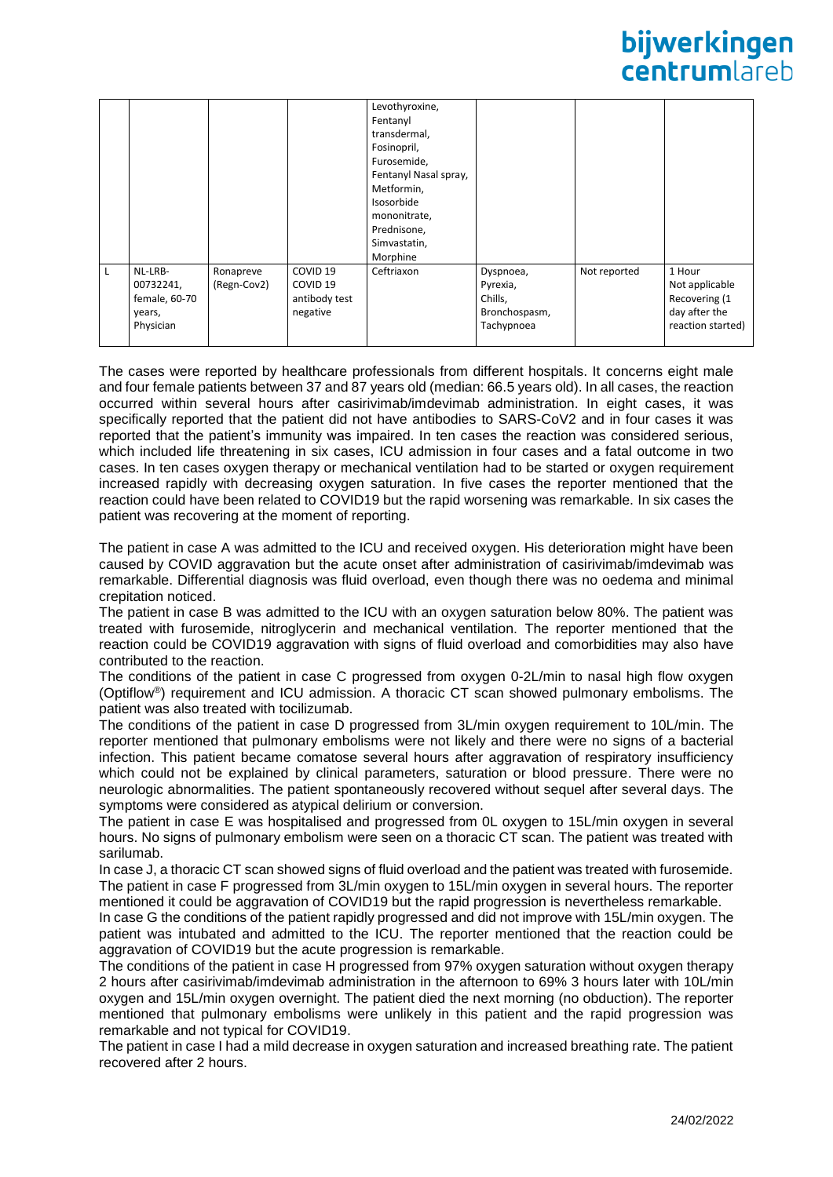## bijwerkingen **Centrum** areh

|                                                              |                          |                                                                         | Levothyroxine,<br>Fentanyl<br>transdermal,<br>Fosinopril,<br>Furosemide,<br>Fentanyl Nasal spray,<br>Metformin,<br>Isosorbide<br>mononitrate,<br>Prednisone,<br>Simvastatin,<br>Morphine |                                                                 |              |                                                                                 |
|--------------------------------------------------------------|--------------------------|-------------------------------------------------------------------------|------------------------------------------------------------------------------------------------------------------------------------------------------------------------------------------|-----------------------------------------------------------------|--------------|---------------------------------------------------------------------------------|
| NL-LRB-<br>00732241,<br>female, 60-70<br>years,<br>Physician | Ronapreve<br>(Regn-Cov2) | COVID <sub>19</sub><br>COVID <sub>19</sub><br>antibody test<br>negative | Ceftriaxon                                                                                                                                                                               | Dyspnoea,<br>Pyrexia,<br>Chills,<br>Bronchospasm,<br>Tachypnoea | Not reported | 1 Hour<br>Not applicable<br>Recovering (1<br>day after the<br>reaction started) |

The cases were reported by healthcare professionals from different hospitals. It concerns eight male and four female patients between 37 and 87 years old (median: 66.5 years old). In all cases, the reaction occurred within several hours after casirivimab/imdevimab administration. In eight cases, it was specifically reported that the patient did not have antibodies to SARS-CoV2 and in four cases it was reported that the patient's immunity was impaired. In ten cases the reaction was considered serious, which included life threatening in six cases, ICU admission in four cases and a fatal outcome in two cases. In ten cases oxygen therapy or mechanical ventilation had to be started or oxygen requirement increased rapidly with decreasing oxygen saturation. In five cases the reporter mentioned that the reaction could have been related to COVID19 but the rapid worsening was remarkable. In six cases the patient was recovering at the moment of reporting.

The patient in case A was admitted to the ICU and received oxygen. His deterioration might have been caused by COVID aggravation but the acute onset after administration of casirivimab/imdevimab was remarkable. Differential diagnosis was fluid overload, even though there was no oedema and minimal crepitation noticed.

The patient in case B was admitted to the ICU with an oxygen saturation below 80%. The patient was treated with furosemide, nitroglycerin and mechanical ventilation. The reporter mentioned that the reaction could be COVID19 aggravation with signs of fluid overload and comorbidities may also have contributed to the reaction.

The conditions of the patient in case C progressed from oxygen 0-2L/min to nasal high flow oxygen (Optiflow®) requirement and ICU admission. A thoracic CT scan showed pulmonary embolisms. The patient was also treated with tocilizumab.

The conditions of the patient in case D progressed from 3L/min oxygen requirement to 10L/min. The reporter mentioned that pulmonary embolisms were not likely and there were no signs of a bacterial infection. This patient became comatose several hours after aggravation of respiratory insufficiency which could not be explained by clinical parameters, saturation or blood pressure. There were no neurologic abnormalities. The patient spontaneously recovered without sequel after several days. The symptoms were considered as atypical delirium or conversion.

The patient in case E was hospitalised and progressed from 0L oxygen to 15L/min oxygen in several hours. No signs of pulmonary embolism were seen on a thoracic CT scan. The patient was treated with sarilumab.

In case J, a thoracic CT scan showed signs of fluid overload and the patient was treated with furosemide. The patient in case F progressed from 3L/min oxygen to 15L/min oxygen in several hours. The reporter mentioned it could be aggravation of COVID19 but the rapid progression is nevertheless remarkable.

In case G the conditions of the patient rapidly progressed and did not improve with 15L/min oxygen. The patient was intubated and admitted to the ICU. The reporter mentioned that the reaction could be aggravation of COVID19 but the acute progression is remarkable.

The conditions of the patient in case H progressed from 97% oxygen saturation without oxygen therapy 2 hours after casirivimab/imdevimab administration in the afternoon to 69% 3 hours later with 10L/min oxygen and 15L/min oxygen overnight. The patient died the next morning (no obduction). The reporter mentioned that pulmonary embolisms were unlikely in this patient and the rapid progression was remarkable and not typical for COVID19.

The patient in case I had a mild decrease in oxygen saturation and increased breathing rate. The patient recovered after 2 hours.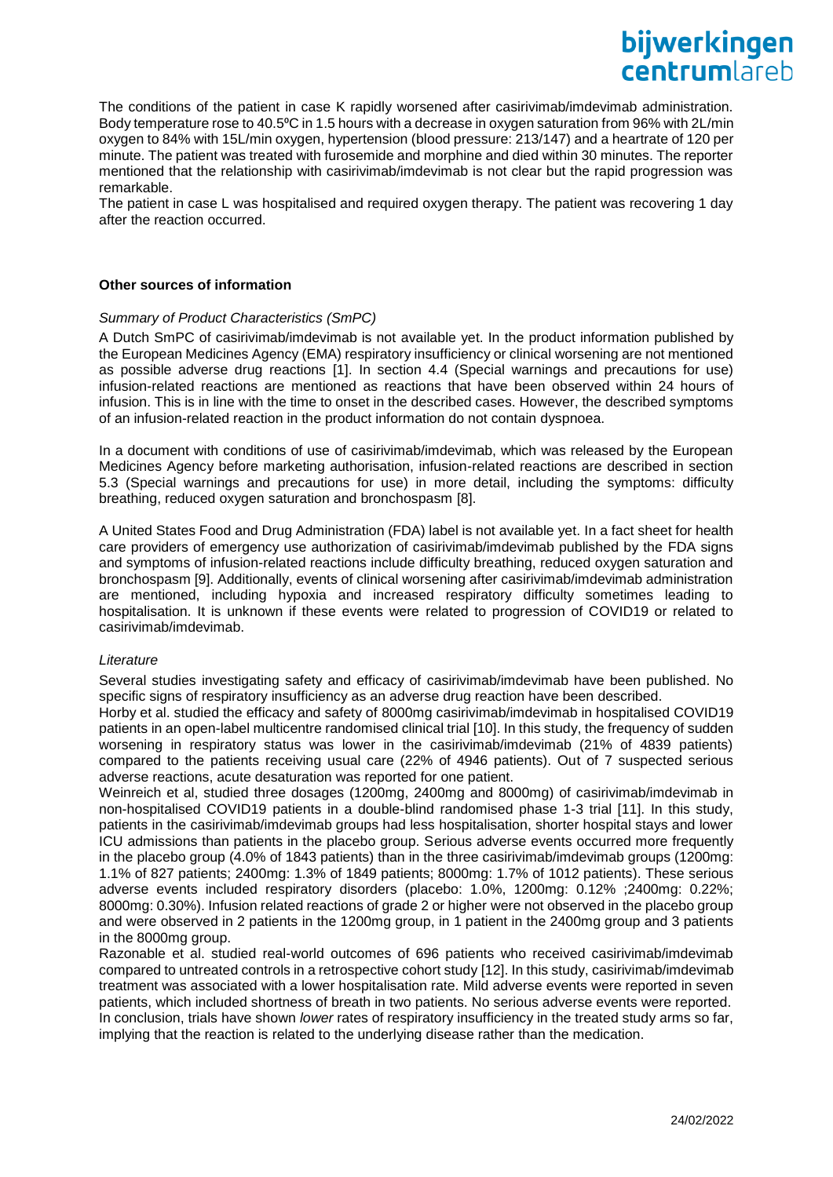The conditions of the patient in case K rapidly worsened after casirivimab/imdevimab administration. Body temperature rose to 40.5<sup>o</sup>C in 1.5 hours with a decrease in oxygen saturation from 96% with 2L/min oxygen to 84% with 15L/min oxygen, hypertension (blood pressure: 213/147) and a heartrate of 120 per minute. The patient was treated with furosemide and morphine and died within 30 minutes. The reporter mentioned that the relationship with casirivimab/imdevimab is not clear but the rapid progression was remarkable.

The patient in case L was hospitalised and required oxygen therapy. The patient was recovering 1 day after the reaction occurred.

#### **Other sources of information**

#### *Summary of Product Characteristics (SmPC)*

A Dutch SmPC of casirivimab/imdevimab is not available yet. In the product information published by the European Medicines Agency (EMA) respiratory insufficiency or clinical worsening are not mentioned as possible adverse drug reactions [1]. In section 4.4 (Special warnings and precautions for use) infusion-related reactions are mentioned as reactions that have been observed within 24 hours of infusion. This is in line with the time to onset in the described cases. However, the described symptoms of an infusion-related reaction in the product information do not contain dyspnoea.

In a document with conditions of use of casirivimab/imdevimab, which was released by the European Medicines Agency before marketing authorisation, infusion-related reactions are described in section 5.3 (Special warnings and precautions for use) in more detail, including the symptoms: difficulty breathing, reduced oxygen saturation and bronchospasm [8].

A United States Food and Drug Administration (FDA) label is not available yet. In a fact sheet for health care providers of emergency use authorization of casirivimab/imdevimab published by the FDA signs and symptoms of infusion-related reactions include difficulty breathing, reduced oxygen saturation and bronchospasm [9]. Additionally, events of clinical worsening after casirivimab/imdevimab administration are mentioned, including hypoxia and increased respiratory difficulty sometimes leading to hospitalisation. It is unknown if these events were related to progression of COVID19 or related to casirivimab/imdevimab.

#### *Literature*

Several studies investigating safety and efficacy of casirivimab/imdevimab have been published. No specific signs of respiratory insufficiency as an adverse drug reaction have been described.

Horby et al. studied the efficacy and safety of 8000mg casirivimab/imdevimab in hospitalised COVID19 patients in an open-label multicentre randomised clinical trial [10]. In this study, the frequency of sudden worsening in respiratory status was lower in the casirivimab/imdevimab (21% of 4839 patients) compared to the patients receiving usual care (22% of 4946 patients). Out of 7 suspected serious adverse reactions, acute desaturation was reported for one patient.

Weinreich et al, studied three dosages (1200mg, 2400mg and 8000mg) of casirivimab/imdevimab in non-hospitalised COVID19 patients in a double-blind randomised phase 1-3 trial [11]. In this study, patients in the casirivimab/imdevimab groups had less hospitalisation, shorter hospital stays and lower ICU admissions than patients in the placebo group. Serious adverse events occurred more frequently in the placebo group (4.0% of 1843 patients) than in the three casirivimab/imdevimab groups (1200mg: 1.1% of 827 patients; 2400mg: 1.3% of 1849 patients; 8000mg: 1.7% of 1012 patients). These serious adverse events included respiratory disorders (placebo: 1.0%, 1200mg: 0.12% ;2400mg: 0.22%; 8000mg: 0.30%). Infusion related reactions of grade 2 or higher were not observed in the placebo group and were observed in 2 patients in the 1200mg group, in 1 patient in the 2400mg group and 3 patients in the 8000mg group.

Razonable et al. studied real-world outcomes of 696 patients who received casirivimab/imdevimab compared to untreated controls in a retrospective cohort study [12]. In this study, casirivimab/imdevimab treatment was associated with a lower hospitalisation rate. Mild adverse events were reported in seven patients, which included shortness of breath in two patients. No serious adverse events were reported. In conclusion, trials have shown *lower* rates of respiratory insufficiency in the treated study arms so far, implying that the reaction is related to the underlying disease rather than the medication.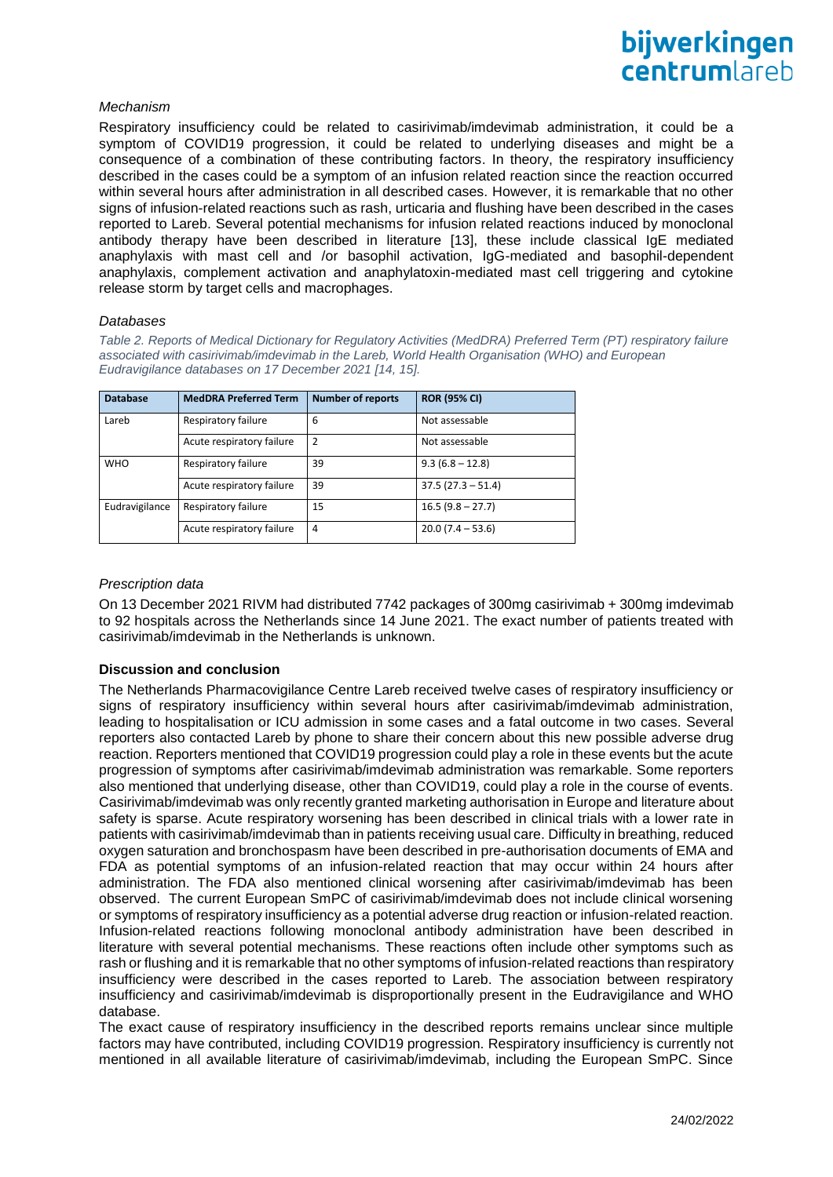#### *Mechanism*

Respiratory insufficiency could be related to casirivimab/imdevimab administration, it could be a symptom of COVID19 progression, it could be related to underlying diseases and might be a consequence of a combination of these contributing factors. In theory, the respiratory insufficiency described in the cases could be a symptom of an infusion related reaction since the reaction occurred within several hours after administration in all described cases. However, it is remarkable that no other signs of infusion-related reactions such as rash, urticaria and flushing have been described in the cases reported to Lareb. Several potential mechanisms for infusion related reactions induced by monoclonal antibody therapy have been described in literature [13], these include classical IgE mediated anaphylaxis with mast cell and /or basophil activation, IgG-mediated and basophil-dependent anaphylaxis, complement activation and anaphylatoxin-mediated mast cell triggering and cytokine release storm by target cells and macrophages.

#### *Databases*

*Table 2. Reports of Medical Dictionary for Regulatory Activities (MedDRA) Preferred Term (PT) respiratory failure associated with casirivimab/imdevimab in the Lareb, World Health Organisation (WHO) and European Eudravigilance databases on 17 December 2021 [14, 15].*

| <b>Database</b> | <b>MedDRA Preferred Term</b> | <b>Number of reports</b> | <b>ROR (95% CI)</b> |
|-----------------|------------------------------|--------------------------|---------------------|
| Lareb           | Respiratory failure          | 6                        | Not assessable      |
|                 | Acute respiratory failure    | $\overline{2}$           | Not assessable      |
| <b>WHO</b>      | Respiratory failure          | 39                       | $9.3(6.8 - 12.8)$   |
|                 | Acute respiratory failure    | 39                       | $37.5(27.3 - 51.4)$ |
| Eudravigilance  | Respiratory failure          | 15                       | $16.5(9.8 - 27.7)$  |
|                 | Acute respiratory failure    | 4                        | $20.0(7.4 - 53.6)$  |

#### *Prescription data*

On 13 December 2021 RIVM had distributed 7742 packages of 300mg casirivimab + 300mg imdevimab to 92 hospitals across the Netherlands since 14 June 2021. The exact number of patients treated with casirivimab/imdevimab in the Netherlands is unknown.

### **Discussion and conclusion**

The Netherlands Pharmacovigilance Centre Lareb received twelve cases of respiratory insufficiency or signs of respiratory insufficiency within several hours after casirivimab/imdevimab administration, leading to hospitalisation or ICU admission in some cases and a fatal outcome in two cases. Several reporters also contacted Lareb by phone to share their concern about this new possible adverse drug reaction. Reporters mentioned that COVID19 progression could play a role in these events but the acute progression of symptoms after casirivimab/imdevimab administration was remarkable. Some reporters also mentioned that underlying disease, other than COVID19, could play a role in the course of events. Casirivimab/imdevimab was only recently granted marketing authorisation in Europe and literature about safety is sparse. Acute respiratory worsening has been described in clinical trials with a lower rate in patients with casirivimab/imdevimab than in patients receiving usual care. Difficulty in breathing, reduced oxygen saturation and bronchospasm have been described in pre-authorisation documents of EMA and FDA as potential symptoms of an infusion-related reaction that may occur within 24 hours after administration. The FDA also mentioned clinical worsening after casirivimab/imdevimab has been observed. The current European SmPC of casirivimab/imdevimab does not include clinical worsening or symptoms of respiratory insufficiency as a potential adverse drug reaction or infusion-related reaction. Infusion-related reactions following monoclonal antibody administration have been described in literature with several potential mechanisms. These reactions often include other symptoms such as rash or flushing and it is remarkable that no other symptoms of infusion-related reactions than respiratory insufficiency were described in the cases reported to Lareb. The association between respiratory insufficiency and casirivimab/imdevimab is disproportionally present in the Eudravigilance and WHO database.

The exact cause of respiratory insufficiency in the described reports remains unclear since multiple factors may have contributed, including COVID19 progression. Respiratory insufficiency is currently not mentioned in all available literature of casirivimab/imdevimab, including the European SmPC. Since